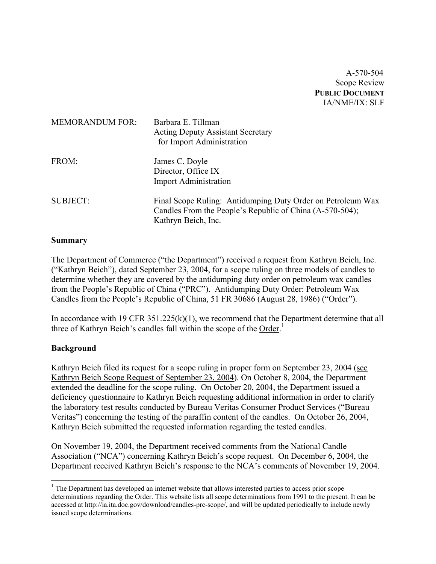A-570-504 Scope Review **PUBLIC DOCUMENT** IA/NME/IX: SLF

| <b>MEMORANDUM FOR:</b> | Barbara E. Tillman<br><b>Acting Deputy Assistant Secretary</b><br>for Import Administration                                                    |
|------------------------|------------------------------------------------------------------------------------------------------------------------------------------------|
| FROM:                  | James C. Doyle<br>Director, Office IX<br><b>Import Administration</b>                                                                          |
| <b>SUBJECT:</b>        | Final Scope Ruling: Antidumping Duty Order on Petroleum Wax<br>Candles From the People's Republic of China (A-570-504);<br>Kathryn Beich, Inc. |

### **Summary**

The Department of Commerce ("the Department") received a request from Kathryn Beich, Inc. ("Kathryn Beich"), dated September 23, 2004, for a scope ruling on three models of candles to determine whether they are covered by the antidumping duty order on petroleum wax candles from the People's Republic of China ("PRC"). Antidumping Duty Order: Petroleum Wax Candles from the People's Republic of China, 51 FR 30686 (August 28, 1986) ("Order").

In accordance with 19 CFR 351.225(k)(1), we recommend that the Department determine that all three of Kathryn Beich's candles fall within the scope of the Order.<sup>[1](#page-0-0)</sup>

# **Background**

 $\overline{a}$ 

Kathryn Beich filed its request for a scope ruling in proper form on September 23, 2004 (see Kathryn Beich Scope Request of September 23, 2004). On October 8, 2004, the Department extended the deadline for the scope ruling. On October 20, 2004, the Department issued a deficiency questionnaire to Kathryn Beich requesting additional information in order to clarify the laboratory test results conducted by Bureau Veritas Consumer Product Services ("Bureau Veritas") concerning the testing of the paraffin content of the candles. On October 26, 2004, Kathryn Beich submitted the requested information regarding the tested candles.

On November 19, 2004, the Department received comments from the National Candle Association ("NCA") concerning Kathryn Beich's scope request. On December 6, 2004, the Department received Kathryn Beich's response to the NCA's comments of November 19, 2004.

<span id="page-0-0"></span> $<sup>1</sup>$  The Department has developed an internet website that allows interested parties to access prior scope</sup> determinations regarding the Order. This website lists all scope determinations from 1991 to the present. It can be accessed at<http://ia.ita.doc.gov/download/candles-prc-scope/,>and will be updated periodically to include newly issued scope determinations.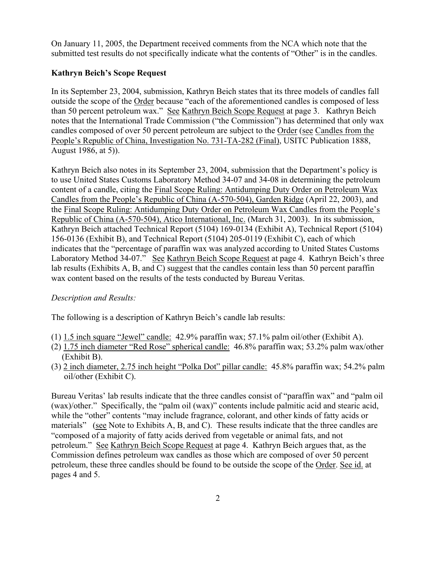On January 11, 2005, the Department received comments from the NCA which note that the submitted test results do not specifically indicate what the contents of "Other" is in the candles.

# **Kathryn Beich's Scope Request**

In its September 23, 2004, submission, Kathryn Beich states that its three models of candles fall outside the scope of the Order because "each of the aforementioned candles is composed of less than 50 percent petroleum wax." See Kathryn Beich Scope Request at page 3. Kathryn Beich notes that the International Trade Commission ("the Commission") has determined that only wax candles composed of over 50 percent petroleum are subject to the Order (see Candles from the People's Republic of China, Investigation No. 731-TA-282 (Final), USITC Publication 1888, August 1986, at 5)).

Kathryn Beich also notes in its September 23, 2004, submission that the Department's policy is to use United States Customs Laboratory Method 34-07 and 34-08 in determining the petroleum content of a candle, citing the Final Scope Ruling: Antidumping Duty Order on Petroleum Wax Candles from the People's Republic of China (A-570-504), Garden Ridge (April 22, 2003), and the Final Scope Ruling: Antidumping Duty Order on Petroleum Wax Candles from the People's Republic of China (A-570-504), Atico International, Inc. (March 31, 2003). In its submission, Kathryn Beich attached Technical Report (5104) 169-0134 (Exhibit A), Technical Report (5104) 156-0136 (Exhibit B), and Technical Report (5104) 205-0119 (Exhibit C), each of which indicates that the "percentage of paraffin wax was analyzed according to United States Customs Laboratory Method 34-07." See Kathryn Beich Scope Request at page 4. Kathryn Beich's three lab results (Exhibits A, B, and C) suggest that the candles contain less than 50 percent paraffin wax content based on the results of the tests conducted by Bureau Veritas.

# *Description and Results:*

The following is a description of Kathryn Beich's candle lab results:

- (1) 1.5 inch square "Jewel" candle: 42.9% paraffin wax; 57.1% palm oil/other (Exhibit A).
- (2) 1.75 inch diameter "Red Rose" spherical candle: 46.8% paraffin wax; 53.2% palm wax/other (Exhibit B).
- (3) 2 inch diameter, 2.75 inch height "Polka Dot" pillar candle: 45.8% paraffin wax; 54.2% palm oil/other (Exhibit C).

Bureau Veritas' lab results indicate that the three candles consist of "paraffin wax" and "palm oil (wax)/other." Specifically, the "palm oil (wax)" contents include palmitic acid and stearic acid, while the "other" contents "may include fragrance, colorant, and other kinds of fatty acids or materials" (see Note to Exhibits A, B, and C). These results indicate that the three candles are "composed of a majority of fatty acids derived from vegetable or animal fats, and not petroleum." See Kathryn Beich Scope Request at page 4. Kathryn Beich argues that, as the Commission defines petroleum wax candles as those which are composed of over 50 percent petroleum, these three candles should be found to be outside the scope of the Order. See id. at pages 4 and 5.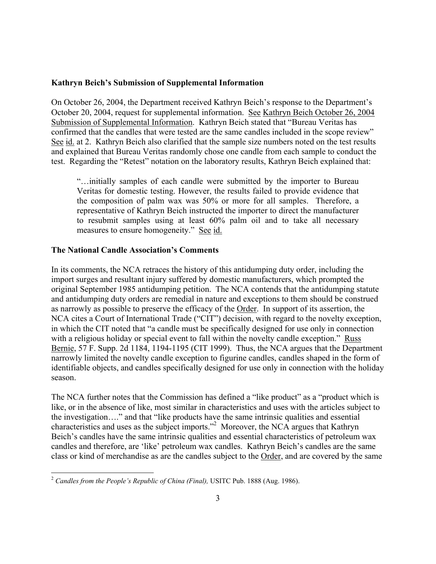### **Kathryn Beich's Submission of Supplemental Information**

On October 26, 2004, the Department received Kathryn Beich's response to the Department's October 20, 2004, request for supplemental information. See Kathryn Beich October 26, 2004 Submission of Supplemental Information. Kathryn Beich stated that "Bureau Veritas has confirmed that the candles that were tested are the same candles included in the scope review" See id. at 2. Kathryn Beich also clarified that the sample size numbers noted on the test results and explained that Bureau Veritas randomly chose one candle from each sample to conduct the test. Regarding the "Retest" notation on the laboratory results, Kathryn Beich explained that:

"…initially samples of each candle were submitted by the importer to Bureau Veritas for domestic testing. However, the results failed to provide evidence that the composition of palm wax was 50% or more for all samples. Therefore, a representative of Kathryn Beich instructed the importer to direct the manufacturer to resubmit samples using at least 60% palm oil and to take all necessary measures to ensure homogeneity." See id.

### **The National Candle Association's Comments**

In its comments, the NCA retraces the history of this antidumping duty order, including the import surges and resultant injury suffered by domestic manufacturers, which prompted the original September 1985 antidumping petition. The NCA contends that the antidumping statute and antidumping duty orders are remedial in nature and exceptions to them should be construed as narrowly as possible to preserve the efficacy of the Order. In support of its assertion, the NCA cites a Court of International Trade ("CIT") decision, with regard to the novelty exception, in which the CIT noted that "a candle must be specifically designed for use only in connection with a religious holiday or special event to fall within the novelty candle exception." Russ Bernie, 57 F. Supp. 2d 1184, 1194-1195 (CIT 1999). Thus, the NCA argues that the Department narrowly limited the novelty candle exception to figurine candles, candles shaped in the form of identifiable objects, and candles specifically designed for use only in connection with the holiday season.

The NCA further notes that the Commission has defined a "like product" as a "product which is like, or in the absence of like, most similar in characteristics and uses with the articles subject to the investigation…." and that "like products have the same intrinsic qualities and essential characteristics and uses as the subject imports.["2](#page-2-0) Moreover, the NCA argues that Kathryn Beich's candles have the same intrinsic qualities and essential characteristics of petroleum wax candles and therefore, are 'like' petroleum wax candles. Kathryn Beich's candles are the same class or kind of merchandise as are the candles subject to the Order, and are covered by the same

<u>.</u>

<span id="page-2-0"></span><sup>2</sup> *Candles from the People's Republic of China (Final),* USITC Pub. 1888 (Aug. 1986).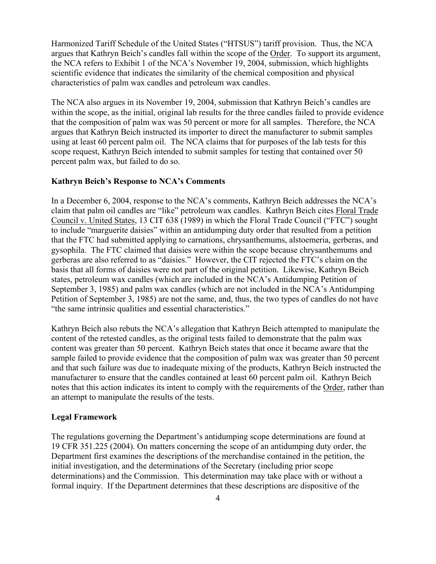Harmonized Tariff Schedule of the United States ("HTSUS") tariff provision. Thus, the NCA argues that Kathryn Beich's candles fall within the scope of the Order. To support its argument, the NCA refers to Exhibit 1 of the NCA's November 19, 2004, submission, which highlights scientific evidence that indicates the similarity of the chemical composition and physical characteristics of palm wax candles and petroleum wax candles.

The NCA also argues in its November 19, 2004, submission that Kathryn Beich's candles are within the scope, as the initial, original lab results for the three candles failed to provide evidence that the composition of palm wax was 50 percent or more for all samples. Therefore, the NCA argues that Kathryn Beich instructed its importer to direct the manufacturer to submit samples using at least 60 percent palm oil. The NCA claims that for purposes of the lab tests for this scope request, Kathryn Beich intended to submit samples for testing that contained over 50 percent palm wax, but failed to do so.

#### **Kathryn Beich's Response to NCA's Comments**

In a December 6, 2004, response to the NCA's comments, Kathryn Beich addresses the NCA's claim that palm oil candles are "like" petroleum wax candles. Kathryn Beich cites Floral Trade Council v. United States, 13 CIT 638 (1989) in which the Floral Trade Council ("FTC") sought to include "marguerite daisies" within an antidumping duty order that resulted from a petition that the FTC had submitted applying to carnations, chrysanthemums, alstoemeria, gerberas, and gysophila. The FTC claimed that daisies were within the scope because chrysanthemums and gerberas are also referred to as "daisies." However, the CIT rejected the FTC's claim on the basis that all forms of daisies were not part of the original petition. Likewise, Kathryn Beich states, petroleum wax candles (which are included in the NCA's Antidumping Petition of September 3, 1985) and palm wax candles (which are not included in the NCA's Antidumping Petition of September 3, 1985) are not the same, and, thus, the two types of candles do not have "the same intrinsic qualities and essential characteristics."

Kathryn Beich also rebuts the NCA's allegation that Kathryn Beich attempted to manipulate the content of the retested candles, as the original tests failed to demonstrate that the palm wax content was greater than 50 percent. Kathryn Beich states that once it became aware that the sample failed to provide evidence that the composition of palm wax was greater than 50 percent and that such failure was due to inadequate mixing of the products, Kathryn Beich instructed the manufacturer to ensure that the candles contained at least 60 percent palm oil. Kathryn Beich notes that this action indicates its intent to comply with the requirements of the Order, rather than an attempt to manipulate the results of the tests.

#### **Legal Framework**

The regulations governing the Department's antidumping scope determinations are found at 19 CFR 351.225 (2004). On matters concerning the scope of an antidumping duty order, the Department first examines the descriptions of the merchandise contained in the petition, the initial investigation, and the determinations of the Secretary (including prior scope determinations) and the Commission. This determination may take place with or without a formal inquiry. If the Department determines that these descriptions are dispositive of the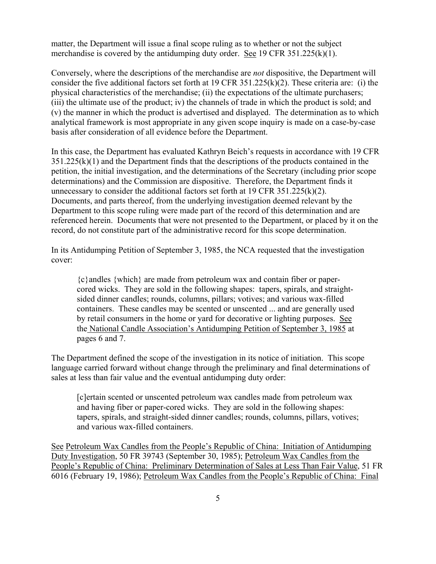matter, the Department will issue a final scope ruling as to whether or not the subject merchandise is covered by the antidumping duty order. See 19 CFR 351.225(k)(1).

Conversely, where the descriptions of the merchandise are *not* dispositive, the Department will consider the five additional factors set forth at 19 CFR 351.225(k)(2). These criteria are: (i) the physical characteristics of the merchandise; (ii) the expectations of the ultimate purchasers; (iii) the ultimate use of the product; iv) the channels of trade in which the product is sold; and (v) the manner in which the product is advertised and displayed. The determination as to which analytical framework is most appropriate in any given scope inquiry is made on a case-by-case basis after consideration of all evidence before the Department.

In this case, the Department has evaluated Kathryn Beich's requests in accordance with 19 CFR 351.225(k)(1) and the Department finds that the descriptions of the products contained in the petition, the initial investigation, and the determinations of the Secretary (including prior scope determinations) and the Commission are dispositive. Therefore, the Department finds it unnecessary to consider the additional factors set forth at 19 CFR 351.225(k)(2). Documents, and parts thereof, from the underlying investigation deemed relevant by the Department to this scope ruling were made part of the record of this determination and are referenced herein. Documents that were not presented to the Department, or placed by it on the record, do not constitute part of the administrative record for this scope determination.

In its Antidumping Petition of September 3, 1985, the NCA requested that the investigation cover:

{c}andles {which} are made from petroleum wax and contain fiber or papercored wicks. They are sold in the following shapes: tapers, spirals, and straightsided dinner candles; rounds, columns, pillars; votives; and various wax-filled containers. These candles may be scented or unscented ... and are generally used by retail consumers in the home or yard for decorative or lighting purposes. See the National Candle Association's Antidumping Petition of September 3, 1985 at pages 6 and 7.

The Department defined the scope of the investigation in its notice of initiation. This scope language carried forward without change through the preliminary and final determinations of sales at less than fair value and the eventual antidumping duty order:

[c]ertain scented or unscented petroleum wax candles made from petroleum wax and having fiber or paper-cored wicks. They are sold in the following shapes: tapers, spirals, and straight-sided dinner candles; rounds, columns, pillars, votives; and various wax-filled containers.

See Petroleum Wax Candles from the People's Republic of China: Initiation of Antidumping Duty Investigation, 50 FR 39743 (September 30, 1985); Petroleum Wax Candles from the People's Republic of China: Preliminary Determination of Sales at Less Than Fair Value, 51 FR 6016 (February 19, 1986); Petroleum Wax Candles from the People's Republic of China: Final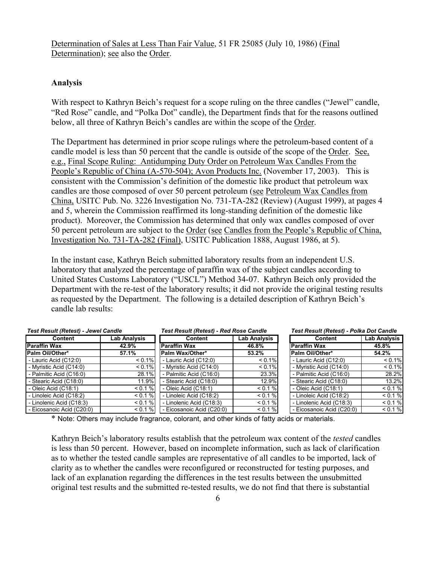Determination of Sales at Less Than Fair Value, 51 FR 25085 (July 10, 1986) (Final Determination); see also the Order.

### **Analysis**

With respect to Kathryn Beich's request for a scope ruling on the three candles ("Jewel" candle, "Red Rose" candle, and "Polka Dot" candle), the Department finds that for the reasons outlined below, all three of Kathryn Beich's candles are within the scope of the Order.

The Department has determined in prior scope rulings where the petroleum-based content of a candle model is less than 50 percent that the candle is outside of the scope of the Order. See, e.g., Final Scope Ruling: Antidumping Duty Order on Petroleum Wax Candles From the People's Republic of China (A-570-504); Avon Products Inc. (November 17, 2003). This is consistent with the Commission's definition of the domestic like product that petroleum wax candles are those composed of over 50 percent petroleum (see Petroleum Wax Candles from China, USITC Pub. No. 3226 Investigation No. 731-TA-282 (Review) (August 1999), at pages 4 and 5, wherein the Commission reaffirmed its long-standing definition of the domestic like product). Moreover, the Commission has determined that only wax candles composed of over 50 percent petroleum are subject to the Order (see Candles from the People's Republic of China, Investigation No. 731-TA-282 (Final), USITC Publication 1888, August 1986, at 5).

In the instant case, Kathryn Beich submitted laboratory results from an independent U.S. laboratory that analyzed the percentage of paraffin wax of the subject candles according to United States Customs Laboratory ("USCL") Method 34-07. Kathryn Beich only provided the Department with the re-test of the laboratory results; it did not provide the original testing results as requested by the Department. The following is a detailed description of Kathryn Beich's candle lab results:

| Test Result (Retest) - Jewel Candle |              | <b>Test Result (Retest) - Red Rose Candle</b> |              | Test Result (Retest) - Polka Dot Candle |                     |
|-------------------------------------|--------------|-----------------------------------------------|--------------|-----------------------------------------|---------------------|
| Content                             | Lab Analysis | <b>Content</b>                                | Lab Analysis | <b>Content</b>                          | <b>Lab Analysis</b> |
| <b>Paraffin Wax</b>                 | 42.9%        | <b>Paraffin Wax</b>                           | 46.8%        | <b>Paraffin Wax</b>                     | 45.8%               |
| Palm Oil/Other*                     | 57.1%        | Palm Wax/Other*                               | 53.2%        | Palm Oil/Other*                         | 54.2%               |
| - Lauric Acid (C12:0)               | $< 0.1\%$    | - Lauric Acid (C12:0)                         | $< 0.1\%$    | - Lauric Acid (C12:0)                   | $< 0.1\%$           |
| - Myristic Acid (C14:0)             | $< 0.1\%$    | - Myristic Acid (C14:0)                       | $< 0.1\%$    | - Myristic Acid (C14:0)                 | $< 0.1\%$           |
| - Palmitic Acid (C16:0)             | 28.1%        | - Palmitic Acid (C16:0)                       | 23.3%        | - Palmitic Acid (C16:0)                 | 28.2%               |
| - Stearic Acid (C18:0)              | 11.9%        | - Stearic Acid (C18:0)                        | 12.9%        | - Stearic Acid (C18:0)                  | 13.2%               |
| - Oleic Acid $(C18:1)$              | < 0.1 %      | - Oleic Acid $(C18:1)$                        | < 0.1 %      | - Oleic Acid $(C18:1)$                  | < 0.1 %             |
| - Linoleic Acid (C18:2)             | < 0.1 %      | - Linoleic Acid (C18:2)                       | < 0.1 %      | - Linoleic Acid (C18:2)                 | < 0.1 %             |
| - Linolenic Acid (C18:3)            | < 0.1 %      | - Linolenic Acid (C18:3)                      | < 0.1 %      | - Linolenic Acid (C18:3)                | < 0.1 %             |
| - Eicosanoic Acid (C20:0)           | < 0.1 %      | - Eicosanoic Acid (C20:0)                     | < 0.1 %      | - Eicosanoic Acid (C20:0)               | < 0.1 %             |

\* Note: Others may include fragrance, colorant, and other kinds of fatty acids or materials.

Kathryn Beich's laboratory results establish that the petroleum wax content of the *tested* candles is less than 50 percent. However, based on incomplete information, such as lack of clarification as to whether the tested candle samples are representative of all candles to be imported, lack of clarity as to whether the candles were reconfigured or reconstructed for testing purposes, and lack of an explanation regarding the differences in the test results between the unsubmitted original test results and the submitted re-tested results, we do not find that there is substantial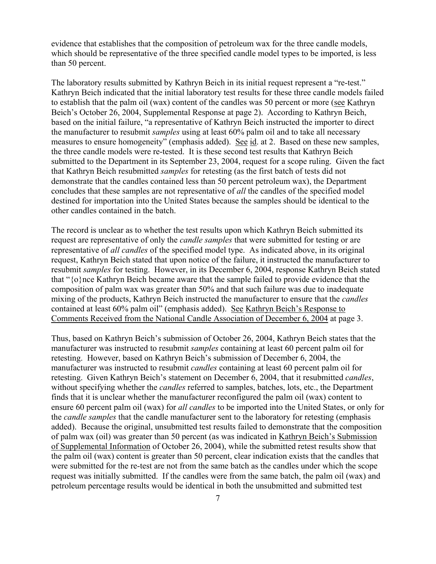evidence that establishes that the composition of petroleum wax for the three candle models, which should be representative of the three specified candle model types to be imported, is less than 50 percent.

The laboratory results submitted by Kathryn Beich in its initial request represent a "re-test." Kathryn Beich indicated that the initial laboratory test results for these three candle models failed to establish that the palm oil (wax) content of the candles was 50 percent or more (see Kathryn Beich's October 26, 2004, Supplemental Response at page 2). According to Kathryn Beich, based on the initial failure, "a representative of Kathryn Beich instructed the importer to direct the manufacturer to resubmit *samples* using at least 60% palm oil and to take all necessary measures to ensure homogeneity" (emphasis added). See id. at 2. Based on these new samples, the three candle models were re-tested. It is these second test results that Kathryn Beich submitted to the Department in its September 23, 2004, request for a scope ruling. Given the fact that Kathryn Beich resubmitted *samples* for retesting (as the first batch of tests did not demonstrate that the candles contained less than 50 percent petroleum wax), the Department concludes that these samples are not representative of *all* the candles of the specified model destined for importation into the United States because the samples should be identical to the other candles contained in the batch.

The record is unclear as to whether the test results upon which Kathryn Beich submitted its request are representative of only the *candle samples* that were submitted for testing or are representative of *all candles* of the specified model type. As indicated above, in its original request, Kathryn Beich stated that upon notice of the failure, it instructed the manufacturer to resubmit *samples* for testing. However, in its December 6, 2004, response Kathryn Beich stated that "{o}nce Kathryn Beich became aware that the sample failed to provide evidence that the composition of palm wax was greater than 50% and that such failure was due to inadequate mixing of the products, Kathryn Beich instructed the manufacturer to ensure that the *candles*  contained at least 60% palm oil" (emphasis added). See Kathryn Beich's Response to Comments Received from the National Candle Association of December 6, 2004 at page 3.

Thus, based on Kathryn Beich's submission of October 26, 2004, Kathryn Beich states that the manufacturer was instructed to resubmit *samples* containing at least 60 percent palm oil for retesting. However, based on Kathryn Beich's submission of December 6, 2004, the manufacturer was instructed to resubmit *candles* containing at least 60 percent palm oil for retesting. Given Kathryn Beich's statement on December 6, 2004, that it resubmitted *candles*, without specifying whether the *candles* referred to samples, batches, lots, etc., the Department finds that it is unclear whether the manufacturer reconfigured the palm oil (wax) content to ensure 60 percent palm oil (wax) for *all candles* to be imported into the United States, or only for the *candle samples* that the candle manufacturer sent to the laboratory for retesting (emphasis added). Because the original, unsubmitted test results failed to demonstrate that the composition of palm wax (oil) was greater than 50 percent (as was indicated in Kathryn Beich's Submission of Supplemental Information of October 26, 2004), while the submitted retest results show that the palm oil (wax) content is greater than 50 percent, clear indication exists that the candles that were submitted for the re-test are not from the same batch as the candles under which the scope request was initially submitted. If the candles were from the same batch, the palm oil (wax) and petroleum percentage results would be identical in both the unsubmitted and submitted test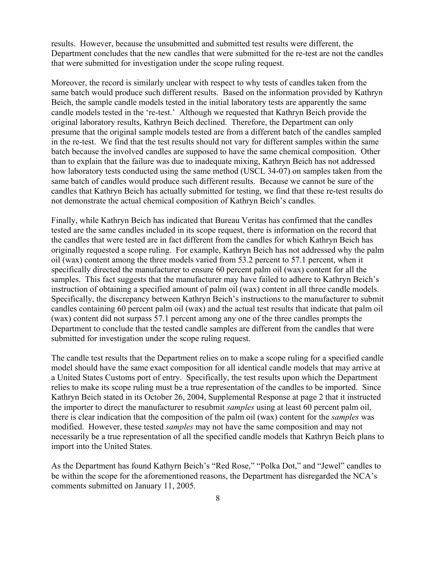results. However, because the unsubmitted and submitted test results were different, the Department concludes that the new candles that were submitted for the re-test are not the candles that were submitted for investigation under the scope ruling request.

Moreover, the record is similarly unclear with respect to why tests of candles taken from the same batch would produce such different results. Based on the information provided by Kathryn Beich, the sample candle models tested in the initial laboratory tests are apparently the same candle models tested in the 're-test.' Although we requested that Kathryn Beich provide the original laboratory results, Kathryn Beich declined. Therefore, the Department can only presume that the original sample models tested are from a different batch of the candles sampled in the re-test. We find that the test results should not vary for different samples within the same batch because the involved candles are supposed to have the same chemical composition. Other than to explain that the failure was due to inadequate mixing, Kathryn Beich has not addressed how laboratory tests conducted using the same method (USCL 34-07) on samples taken from the same batch of candles would produce such different results. Because we cannot be sure of the candles that Kathryn Beich has actually submitted for testing, we find that these re-test results do not demonstrate the actual chemical composition of Kathryn Beich's candles.

Finally, while Kathryn Beich has indicated that Bureau Veritas has confirmed that the candles tested are the same candles included in its scope request, there is information on the record that the candles that were tested are in fact different from the candles for which Kathryn Beich has originally requested a scope ruling. For example, Kathryn Beich has not addressed why the palm oil (wax) content among the three models varied from 53.2 percent to 57.1 percent, when it specifically directed the manufacturer to ensure 60 percent palm oil (wax) content for all the samples. This fact suggests that the manufacturer may have failed to adhere to Kathryn Beich's instruction of obtaining a specified amount of palm oil (wax) content in all three candle models. Specifically, the discrepancy between Kathryn Beich's instructions to the manufacturer to submit candles containing 60 percent palm oil (wax) and the actual test results that indicate that palm oil (wax) content did not surpass 57.1 percent among any one of the three candles prompts the Department to conclude that the tested candle samples are different from the candles that were submitted for investigation under the scope ruling request.

The candle test results that the Department relies on to make a scope ruling for a specified candle model should have the same exact composition for all identical candle models that may arrive at a United States Customs port of entry. Specifically, the test results upon which the Department relies to make its scope ruling must be a true representation of the candles to be imported. Since Kathryn Beich stated in its October 26, 2004, Supplemental Response at page 2 that it instructed the importer to direct the manufacturer to resubmit *samples* using at least 60 percent palm oil, there is clear indication that the composition of the palm oil (wax) content for the *samples* was modified. However, these tested *samples* may not have the same composition and may not necessarily be a true representation of all the specified candle models that Kathryn Beich plans to import into the United States.

As the Department has found Kathyrn Beich's "Red Rose," "Polka Dot," and "Jewel" candles to be within the scope for the aforementioned reasons, the Department has disregarded the NCA's comments submitted on January 11, 2005.